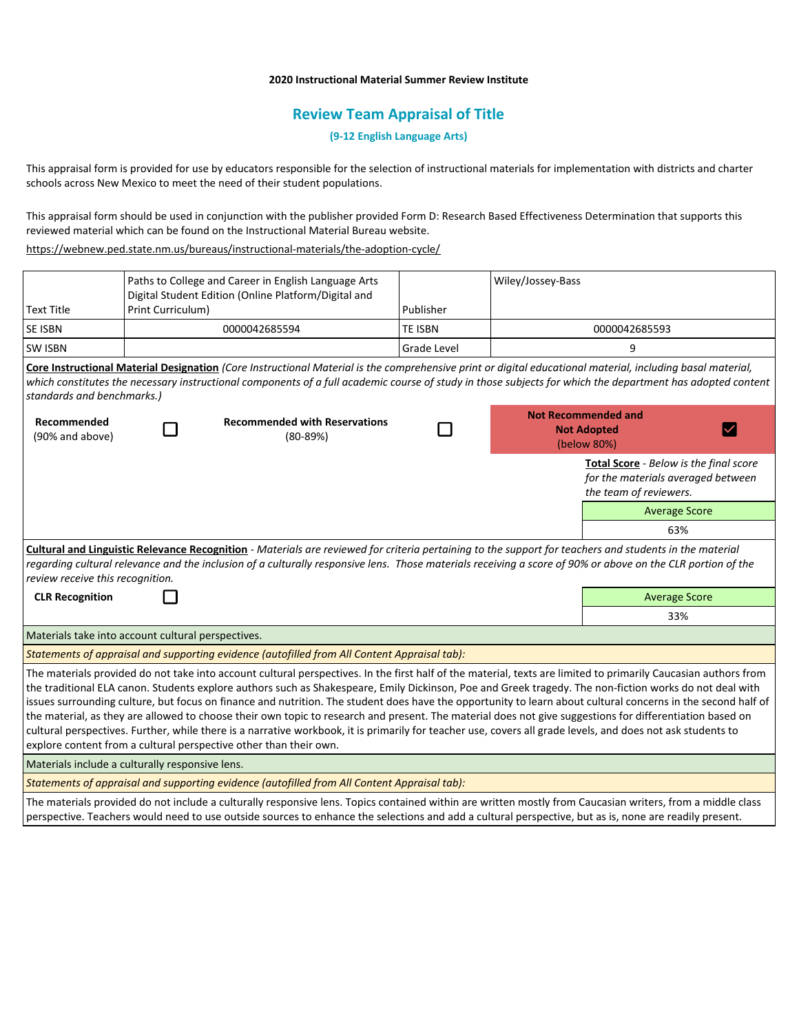## **2020 Instructional Material Summer Review Institute**

# **Review Team Appraisal of Title**

**(9-12 English Language Arts)**

This appraisal form is provided for use by educators responsible for the selection of instructional materials for implementation with districts and charter schools across New Mexico to meet the need of their student populations.

This appraisal form should be used in conjunction with the publisher provided Form D: Research Based Effectiveness Determination that supports this reviewed material which can be found on the Instructional Material Bureau website.

<https://webnew.ped.state.nm.us/bureaus/instructional-materials/the-adoption-cycle/>

|                                                                                                                                                                                                                                                                                                                                                                                                                                                                                                                                                                                                                                                                                                                                                                                                                                                                                            | Print Curriculum) | Paths to College and Career in English Language Arts<br>Digital Student Edition (Online Platform/Digital and | Publisher          | Wiley/Jossey-Bass                                               |                                                                                                        |                      |  |
|--------------------------------------------------------------------------------------------------------------------------------------------------------------------------------------------------------------------------------------------------------------------------------------------------------------------------------------------------------------------------------------------------------------------------------------------------------------------------------------------------------------------------------------------------------------------------------------------------------------------------------------------------------------------------------------------------------------------------------------------------------------------------------------------------------------------------------------------------------------------------------------------|-------------------|--------------------------------------------------------------------------------------------------------------|--------------------|-----------------------------------------------------------------|--------------------------------------------------------------------------------------------------------|----------------------|--|
| <b>Text Title</b>                                                                                                                                                                                                                                                                                                                                                                                                                                                                                                                                                                                                                                                                                                                                                                                                                                                                          |                   |                                                                                                              |                    |                                                                 |                                                                                                        |                      |  |
| SE ISBN                                                                                                                                                                                                                                                                                                                                                                                                                                                                                                                                                                                                                                                                                                                                                                                                                                                                                    |                   | 0000042685594                                                                                                | <b>TE ISBN</b>     | 0000042685593                                                   |                                                                                                        |                      |  |
| <b>SW ISBN</b>                                                                                                                                                                                                                                                                                                                                                                                                                                                                                                                                                                                                                                                                                                                                                                                                                                                                             |                   |                                                                                                              | <b>Grade Level</b> |                                                                 | 9                                                                                                      |                      |  |
| Core Instructional Material Designation (Core Instructional Material is the comprehensive print or digital educational material, including basal material,<br>which constitutes the necessary instructional components of a full academic course of study in those subjects for which the department has adopted content<br>standards and benchmarks.)                                                                                                                                                                                                                                                                                                                                                                                                                                                                                                                                     |                   |                                                                                                              |                    |                                                                 |                                                                                                        |                      |  |
| Recommended<br>(90% and above)                                                                                                                                                                                                                                                                                                                                                                                                                                                                                                                                                                                                                                                                                                                                                                                                                                                             |                   | <b>Recommended with Reservations</b><br>$(80-89%)$                                                           |                    | <b>Not Recommended and</b><br><b>Not Adopted</b><br>(below 80%) |                                                                                                        |                      |  |
|                                                                                                                                                                                                                                                                                                                                                                                                                                                                                                                                                                                                                                                                                                                                                                                                                                                                                            |                   |                                                                                                              |                    |                                                                 | Total Score - Below is the final score<br>for the materials averaged between<br>the team of reviewers. |                      |  |
|                                                                                                                                                                                                                                                                                                                                                                                                                                                                                                                                                                                                                                                                                                                                                                                                                                                                                            |                   |                                                                                                              |                    |                                                                 |                                                                                                        | <b>Average Score</b> |  |
|                                                                                                                                                                                                                                                                                                                                                                                                                                                                                                                                                                                                                                                                                                                                                                                                                                                                                            |                   |                                                                                                              |                    |                                                                 |                                                                                                        | 63%                  |  |
| Cultural and Linguistic Relevance Recognition - Materials are reviewed for criteria pertaining to the support for teachers and students in the material<br>regarding cultural relevance and the inclusion of a culturally responsive lens. Those materials receiving a score of 90% or above on the CLR portion of the<br>review receive this recognition.                                                                                                                                                                                                                                                                                                                                                                                                                                                                                                                                 |                   |                                                                                                              |                    |                                                                 |                                                                                                        |                      |  |
| <b>CLR Recognition</b>                                                                                                                                                                                                                                                                                                                                                                                                                                                                                                                                                                                                                                                                                                                                                                                                                                                                     |                   |                                                                                                              |                    |                                                                 |                                                                                                        | <b>Average Score</b> |  |
|                                                                                                                                                                                                                                                                                                                                                                                                                                                                                                                                                                                                                                                                                                                                                                                                                                                                                            |                   |                                                                                                              |                    |                                                                 |                                                                                                        | 33%                  |  |
| Materials take into account cultural perspectives.                                                                                                                                                                                                                                                                                                                                                                                                                                                                                                                                                                                                                                                                                                                                                                                                                                         |                   |                                                                                                              |                    |                                                                 |                                                                                                        |                      |  |
| Statements of appraisal and supporting evidence (autofilled from All Content Appraisal tab):                                                                                                                                                                                                                                                                                                                                                                                                                                                                                                                                                                                                                                                                                                                                                                                               |                   |                                                                                                              |                    |                                                                 |                                                                                                        |                      |  |
| The materials provided do not take into account cultural perspectives. In the first half of the material, texts are limited to primarily Caucasian authors from<br>the traditional ELA canon. Students explore authors such as Shakespeare, Emily Dickinson, Poe and Greek tragedy. The non-fiction works do not deal with<br>issues surrounding culture, but focus on finance and nutrition. The student does have the opportunity to learn about cultural concerns in the second half of<br>the material, as they are allowed to choose their own topic to research and present. The material does not give suggestions for differentiation based on<br>cultural perspectives. Further, while there is a narrative workbook, it is primarily for teacher use, covers all grade levels, and does not ask students to<br>explore content from a cultural perspective other than their own. |                   |                                                                                                              |                    |                                                                 |                                                                                                        |                      |  |
| Materials include a culturally responsive lens.                                                                                                                                                                                                                                                                                                                                                                                                                                                                                                                                                                                                                                                                                                                                                                                                                                            |                   |                                                                                                              |                    |                                                                 |                                                                                                        |                      |  |
| Statements of appraisal and supporting evidence (autofilled from All Content Appraisal tab):                                                                                                                                                                                                                                                                                                                                                                                                                                                                                                                                                                                                                                                                                                                                                                                               |                   |                                                                                                              |                    |                                                                 |                                                                                                        |                      |  |
| The materials provided do not include a culturally responsive lens. Topics contained within are written mostly from Caucasian writers, from a middle class<br>perspective. Teachers would need to use outside sources to enhance the selections and add a cultural perspective, but as is, none are readily present.                                                                                                                                                                                                                                                                                                                                                                                                                                                                                                                                                                       |                   |                                                                                                              |                    |                                                                 |                                                                                                        |                      |  |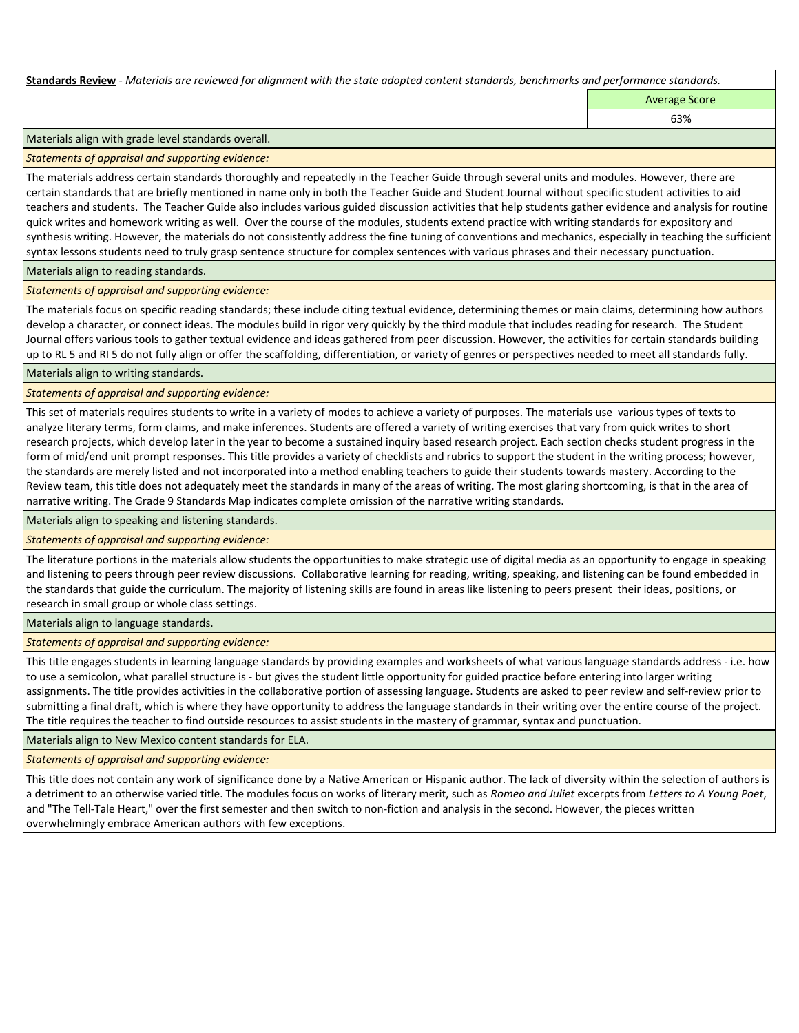**Standards Review** *- Materials are reviewed for alignment with the state adopted content standards, benchmarks and performance standards.*

Average Score 63%

Materials align with grade level standards overall.

*Statements of appraisal and supporting evidence:* 

The materials address certain standards thoroughly and repeatedly in the Teacher Guide through several units and modules. However, there are certain standards that are briefly mentioned in name only in both the Teacher Guide and Student Journal without specific student activities to aid teachers and students. The Teacher Guide also includes various guided discussion activities that help students gather evidence and analysis for routine quick writes and homework writing as well. Over the course of the modules, students extend practice with writing standards for expository and synthesis writing. However, the materials do not consistently address the fine tuning of conventions and mechanics, especially in teaching the sufficient syntax lessons students need to truly grasp sentence structure for complex sentences with various phrases and their necessary punctuation.

Materials align to reading standards.

*Statements of appraisal and supporting evidence:* 

The materials focus on specific reading standards; these include citing textual evidence, determining themes or main claims, determining how authors develop a character, or connect ideas. The modules build in rigor very quickly by the third module that includes reading for research. The Student Journal offers various tools to gather textual evidence and ideas gathered from peer discussion. However, the activities for certain standards building up to RL 5 and RI 5 do not fully align or offer the scaffolding, differentiation, or variety of genres or perspectives needed to meet all standards fully.

Materials align to writing standards.

*Statements of appraisal and supporting evidence:* 

This set of materials requires students to write in a variety of modes to achieve a variety of purposes. The materials use various types of texts to analyze literary terms, form claims, and make inferences. Students are offered a variety of writing exercises that vary from quick writes to short research projects, which develop later in the year to become a sustained inquiry based research project. Each section checks student progress in the form of mid/end unit prompt responses. This title provides a variety of checklists and rubrics to support the student in the writing process; however, the standards are merely listed and not incorporated into a method enabling teachers to guide their students towards mastery. According to the Review team, this title does not adequately meet the standards in many of the areas of writing. The most glaring shortcoming, is that in the area of narrative writing. The Grade 9 Standards Map indicates complete omission of the narrative writing standards.

Materials align to speaking and listening standards.

*Statements of appraisal and supporting evidence:* 

The literature portions in the materials allow students the opportunities to make strategic use of digital media as an opportunity to engage in speaking and listening to peers through peer review discussions. Collaborative learning for reading, writing, speaking, and listening can be found embedded in the standards that guide the curriculum. The majority of listening skills are found in areas like listening to peers present their ideas, positions, or research in small group or whole class settings.

Materials align to language standards.

*Statements of appraisal and supporting evidence:* 

This title engages students in learning language standards by providing examples and worksheets of what various language standards address - i.e. how to use a semicolon, what parallel structure is - but gives the student little opportunity for guided practice before entering into larger writing assignments. The title provides activities in the collaborative portion of assessing language. Students are asked to peer review and self-review prior to submitting a final draft, which is where they have opportunity to address the language standards in their writing over the entire course of the project. The title requires the teacher to find outside resources to assist students in the mastery of grammar, syntax and punctuation.

Materials align to New Mexico content standards for ELA.

*Statements of appraisal and supporting evidence:* 

This title does not contain any work of significance done by a Native American or Hispanic author. The lack of diversity within the selection of authors is a detriment to an otherwise varied title. The modules focus on works of literary merit, such as *Romeo and Juliet* excerpts from *Letters to A Young Poet*, and "The Tell-Tale Heart," over the first semester and then switch to non-fiction and analysis in the second. However, the pieces written overwhelmingly embrace American authors with few exceptions.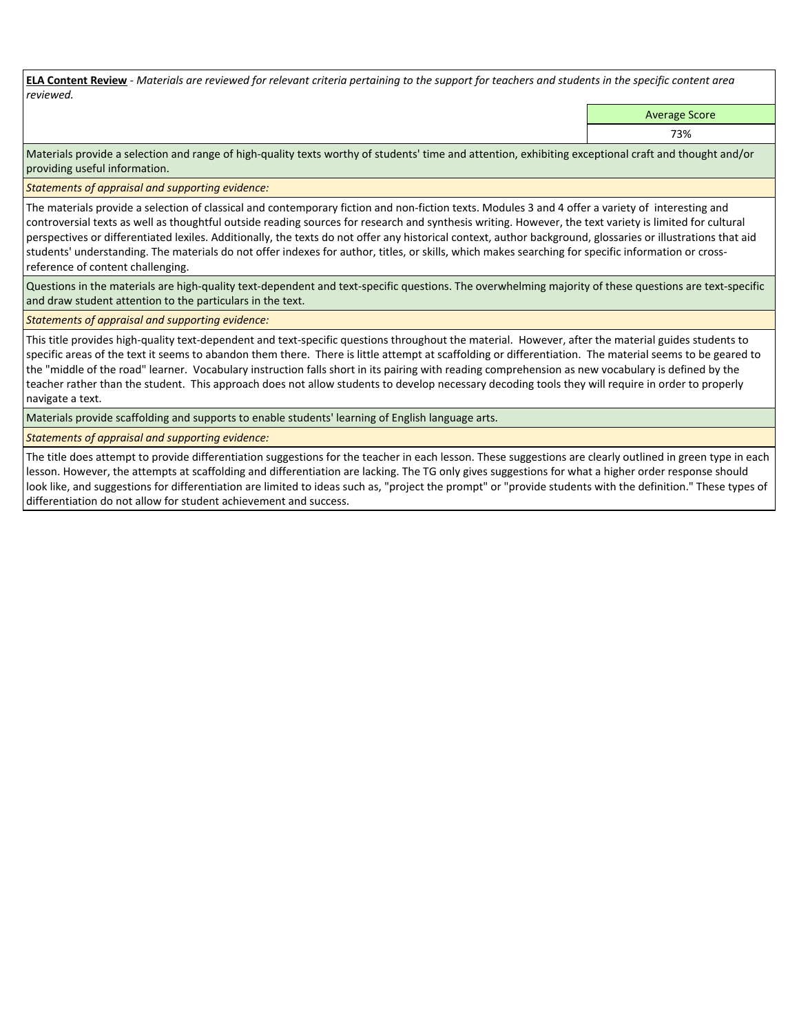**ELA Content Review** *- Materials are reviewed for relevant criteria pertaining to the support for teachers and students in the specific content area reviewed.*

Average Score

73%

Materials provide a selection and range of high-quality texts worthy of students' time and attention, exhibiting exceptional craft and thought and/or providing useful information.

*Statements of appraisal and supporting evidence:* 

The materials provide a selection of classical and contemporary fiction and non-fiction texts. Modules 3 and 4 offer a variety of interesting and controversial texts as well as thoughtful outside reading sources for research and synthesis writing. However, the text variety is limited for cultural perspectives or differentiated lexiles. Additionally, the texts do not offer any historical context, author background, glossaries or illustrations that aid students' understanding. The materials do not offer indexes for author, titles, or skills, which makes searching for specific information or crossreference of content challenging.

Questions in the materials are high-quality text-dependent and text-specific questions. The overwhelming majority of these questions are text-specific and draw student attention to the particulars in the text.

*Statements of appraisal and supporting evidence:* 

This title provides high-quality text-dependent and text-specific questions throughout the material. However, after the material guides students to specific areas of the text it seems to abandon them there. There is little attempt at scaffolding or differentiation. The material seems to be geared to the "middle of the road" learner. Vocabulary instruction falls short in its pairing with reading comprehension as new vocabulary is defined by the teacher rather than the student. This approach does not allow students to develop necessary decoding tools they will require in order to properly navigate a text.

Materials provide scaffolding and supports to enable students' learning of English language arts.

*Statements of appraisal and supporting evidence:* 

The title does attempt to provide differentiation suggestions for the teacher in each lesson. These suggestions are clearly outlined in green type in each lesson. However, the attempts at scaffolding and differentiation are lacking. The TG only gives suggestions for what a higher order response should look like, and suggestions for differentiation are limited to ideas such as, "project the prompt" or "provide students with the definition." These types of differentiation do not allow for student achievement and success.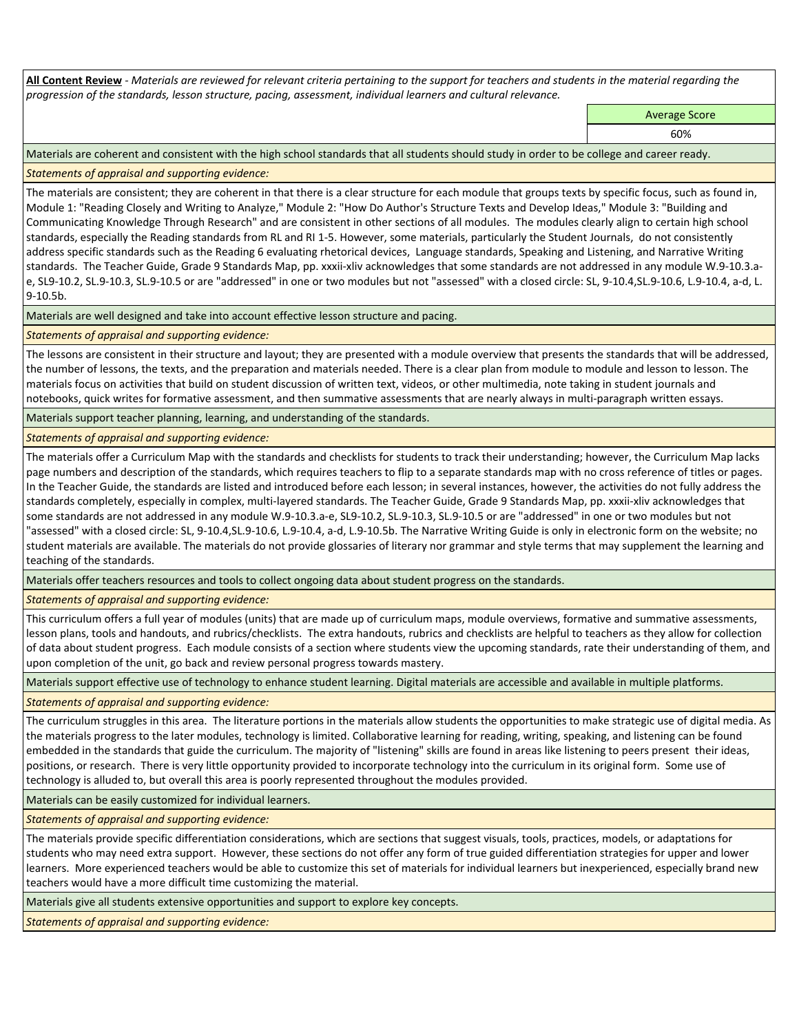**All Content Review** *- Materials are reviewed for relevant criteria pertaining to the support for teachers and students in the material regarding the progression of the standards, lesson structure, pacing, assessment, individual learners and cultural relevance.*

Average Score

60%

Materials are coherent and consistent with the high school standards that all students should study in order to be college and career ready.

## *Statements of appraisal and supporting evidence:*

The materials are consistent; they are coherent in that there is a clear structure for each module that groups texts by specific focus, such as found in, Module 1: "Reading Closely and Writing to Analyze," Module 2: "How Do Author's Structure Texts and Develop Ideas," Module 3: "Building and Communicating Knowledge Through Research" and are consistent in other sections of all modules. The modules clearly align to certain high school standards, especially the Reading standards from RL and RI 1-5. However, some materials, particularly the Student Journals, do not consistently address specific standards such as the Reading 6 evaluating rhetorical devices, Language standards, Speaking and Listening, and Narrative Writing standards. The Teacher Guide, Grade 9 Standards Map, pp. xxxii-xliv acknowledges that some standards are not addressed in any module W.9-10.3.ae, SL9-10.2, SL.9-10.3, SL.9-10.5 or are "addressed" in one or two modules but not "assessed" with a closed circle: SL, 9-10.4,SL.9-10.6, L.9-10.4, a-d, L. 9-10.5b.

Materials are well designed and take into account effective lesson structure and pacing.

# *Statements of appraisal and supporting evidence:*

The lessons are consistent in their structure and layout; they are presented with a module overview that presents the standards that will be addressed, the number of lessons, the texts, and the preparation and materials needed. There is a clear plan from module to module and lesson to lesson. The materials focus on activities that build on student discussion of written text, videos, or other multimedia, note taking in student journals and notebooks, quick writes for formative assessment, and then summative assessments that are nearly always in multi-paragraph written essays.

Materials support teacher planning, learning, and understanding of the standards.

*Statements of appraisal and supporting evidence:*

The materials offer a Curriculum Map with the standards and checklists for students to track their understanding; however, the Curriculum Map lacks page numbers and description of the standards, which requires teachers to flip to a separate standards map with no cross reference of titles or pages. In the Teacher Guide, the standards are listed and introduced before each lesson; in several instances, however, the activities do not fully address the standards completely, especially in complex, multi-layered standards. The Teacher Guide, Grade 9 Standards Map, pp. xxxii-xliv acknowledges that some standards are not addressed in any module W.9-10.3.a-e, SL9-10.2, SL.9-10.3, SL.9-10.5 or are "addressed" in one or two modules but not "assessed" with a closed circle: SL, 9-10.4,SL.9-10.6, L.9-10.4, a-d, L.9-10.5b. The Narrative Writing Guide is only in electronic form on the website; no student materials are available. The materials do not provide glossaries of literary nor grammar and style terms that may supplement the learning and teaching of the standards.

Materials offer teachers resources and tools to collect ongoing data about student progress on the standards.

*Statements of appraisal and supporting evidence:*

This curriculum offers a full year of modules (units) that are made up of curriculum maps, module overviews, formative and summative assessments, lesson plans, tools and handouts, and rubrics/checklists. The extra handouts, rubrics and checklists are helpful to teachers as they allow for collection of data about student progress. Each module consists of a section where students view the upcoming standards, rate their understanding of them, and upon completion of the unit, go back and review personal progress towards mastery.

Materials support effective use of technology to enhance student learning. Digital materials are accessible and available in multiple platforms.

*Statements of appraisal and supporting evidence:*

The curriculum struggles in this area. The literature portions in the materials allow students the opportunities to make strategic use of digital media. As the materials progress to the later modules, technology is limited. Collaborative learning for reading, writing, speaking, and listening can be found embedded in the standards that guide the curriculum. The majority of "listening" skills are found in areas like listening to peers present their ideas, positions, or research. There is very little opportunity provided to incorporate technology into the curriculum in its original form. Some use of technology is alluded to, but overall this area is poorly represented throughout the modules provided.

Materials can be easily customized for individual learners.

*Statements of appraisal and supporting evidence:* 

The materials provide specific differentiation considerations, which are sections that suggest visuals, tools, practices, models, or adaptations for students who may need extra support. However, these sections do not offer any form of true guided differentiation strategies for upper and lower learners. More experienced teachers would be able to customize this set of materials for individual learners but inexperienced, especially brand new teachers would have a more difficult time customizing the material.

Materials give all students extensive opportunities and support to explore key concepts.

*Statements of appraisal and supporting evidence:*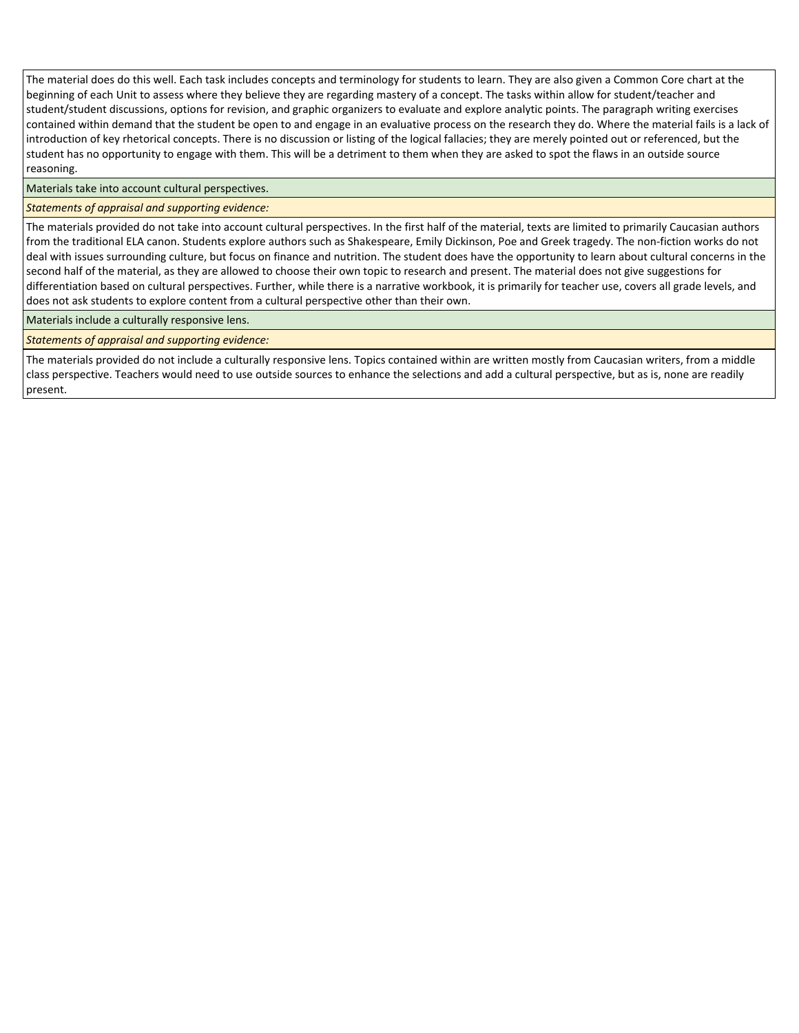The material does do this well. Each task includes concepts and terminology for students to learn. They are also given a Common Core chart at the beginning of each Unit to assess where they believe they are regarding mastery of a concept. The tasks within allow for student/teacher and student/student discussions, options for revision, and graphic organizers to evaluate and explore analytic points. The paragraph writing exercises contained within demand that the student be open to and engage in an evaluative process on the research they do. Where the material fails is a lack of introduction of key rhetorical concepts. There is no discussion or listing of the logical fallacies; they are merely pointed out or referenced, but the student has no opportunity to engage with them. This will be a detriment to them when they are asked to spot the flaws in an outside source reasoning.

Materials take into account cultural perspectives.

## *Statements of appraisal and supporting evidence:*

The materials provided do not take into account cultural perspectives. In the first half of the material, texts are limited to primarily Caucasian authors from the traditional ELA canon. Students explore authors such as Shakespeare, Emily Dickinson, Poe and Greek tragedy. The non-fiction works do not deal with issues surrounding culture, but focus on finance and nutrition. The student does have the opportunity to learn about cultural concerns in the second half of the material, as they are allowed to choose their own topic to research and present. The material does not give suggestions for differentiation based on cultural perspectives. Further, while there is a narrative workbook, it is primarily for teacher use, covers all grade levels, and does not ask students to explore content from a cultural perspective other than their own.

Materials include a culturally responsive lens.

*Statements of appraisal and supporting evidence:*

The materials provided do not include a culturally responsive lens. Topics contained within are written mostly from Caucasian writers, from a middle class perspective. Teachers would need to use outside sources to enhance the selections and add a cultural perspective, but as is, none are readily present.